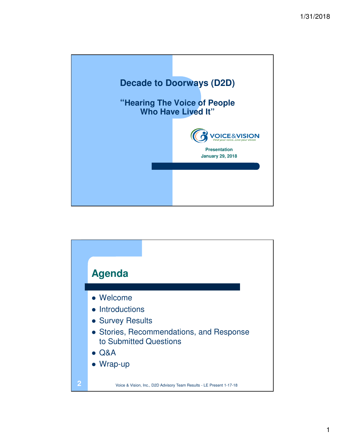

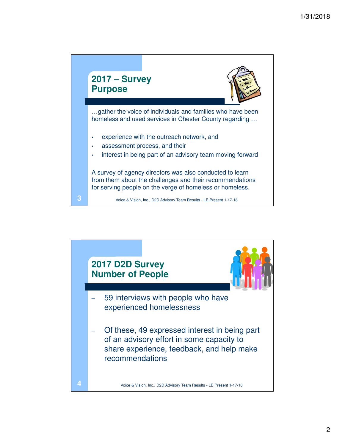

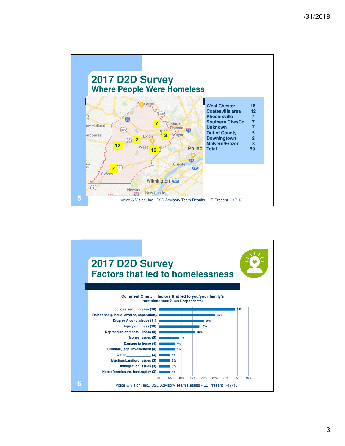

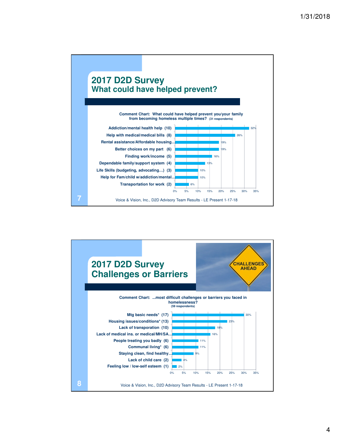

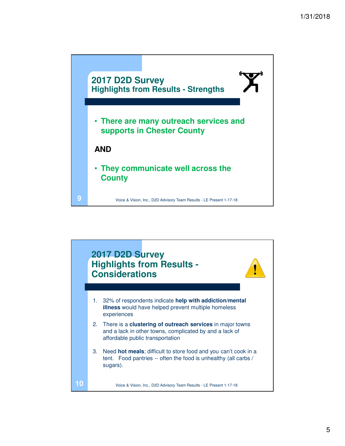

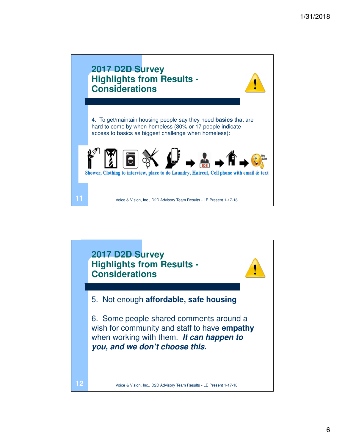

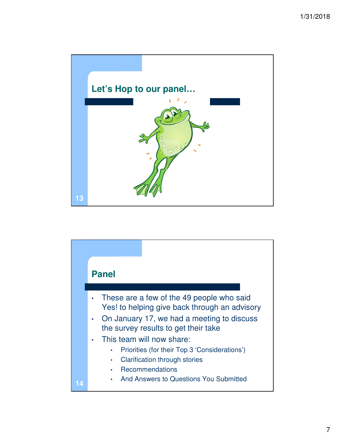

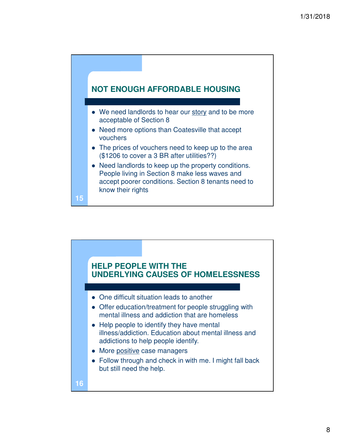

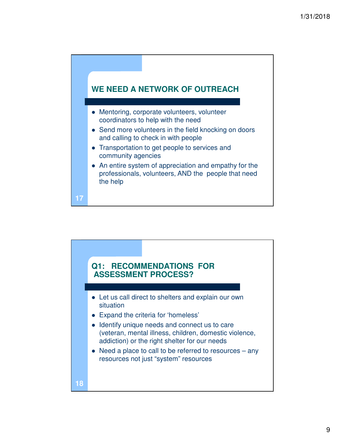

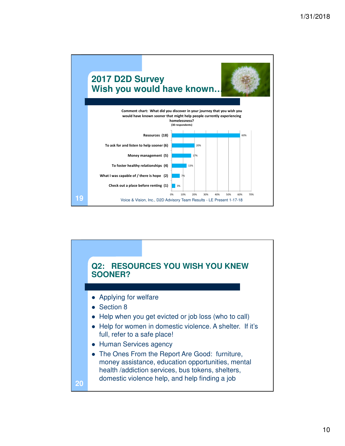

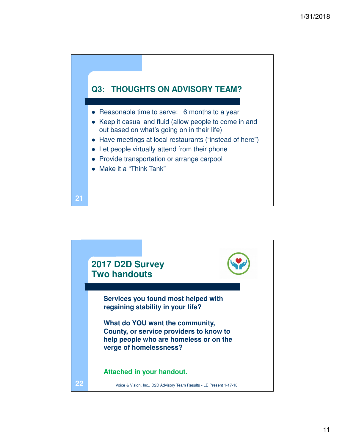